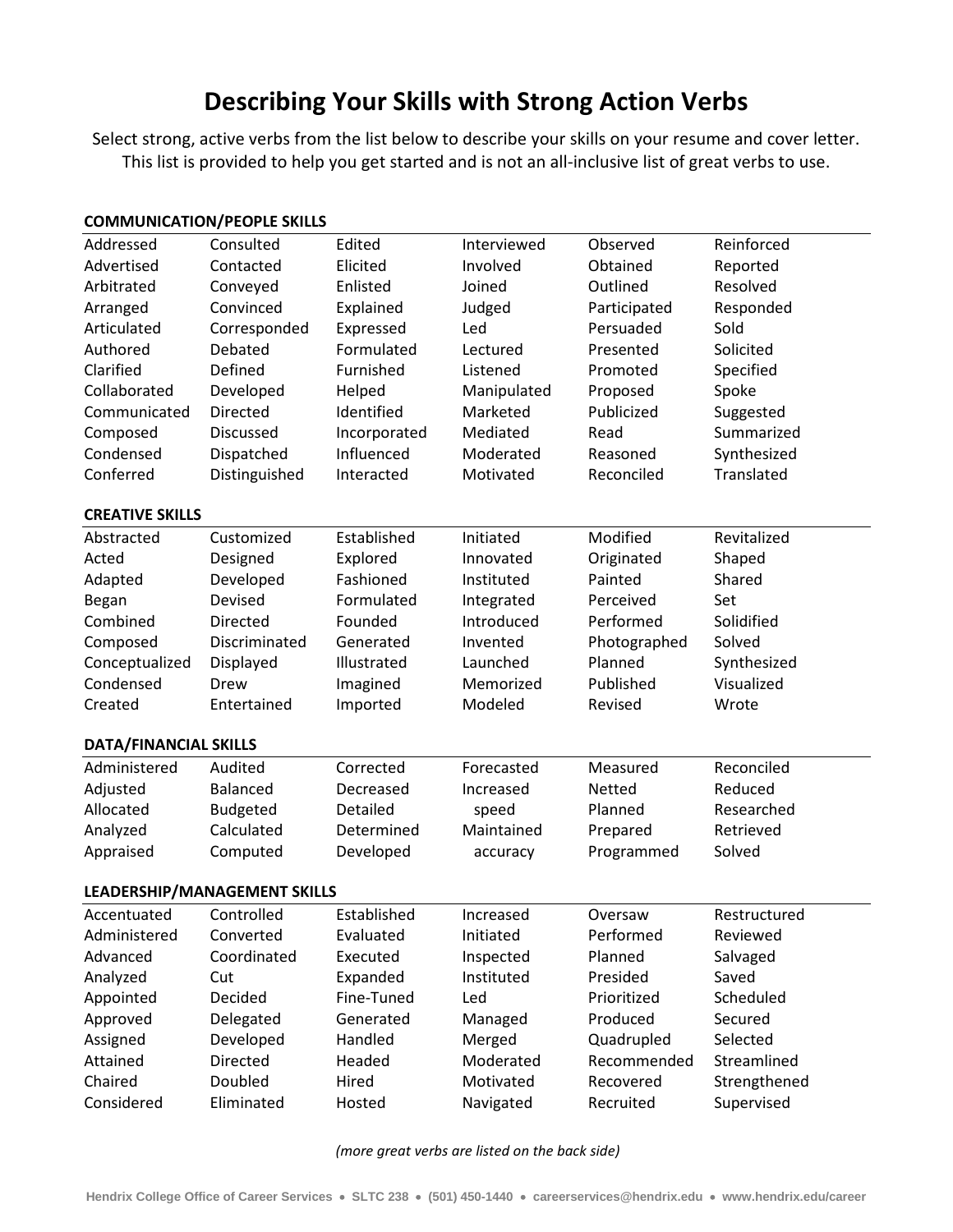## **Describing Your Skills with Strong Action Verbs**

Select strong, active verbs from the list below to describe your skills on your resume and cover letter. This list is provided to help you get started and is not an all-inclusive list of great verbs to use.

| <b>COMMUNICATION/PEOPLE SKILLS</b> |                 |              |             |              |              |  |  |  |  |
|------------------------------------|-----------------|--------------|-------------|--------------|--------------|--|--|--|--|
| Addressed                          | Consulted       | Edited       | Interviewed | Observed     | Reinforced   |  |  |  |  |
| Advertised                         | Contacted       | Elicited     | Involved    | Obtained     | Reported     |  |  |  |  |
| Arbitrated                         | Conveyed        | Enlisted     | Joined      | Outlined     | Resolved     |  |  |  |  |
| Arranged                           | Convinced       | Explained    | Judged      | Participated | Responded    |  |  |  |  |
| Articulated                        | Corresponded    | Expressed    | Led         | Persuaded    | Sold         |  |  |  |  |
| Authored                           | Debated         | Formulated   | Lectured    | Presented    | Solicited    |  |  |  |  |
| Clarified                          | Defined         | Furnished    | Listened    | Promoted     | Specified    |  |  |  |  |
| Collaborated                       | Developed       | Helped       | Manipulated | Proposed     | Spoke        |  |  |  |  |
| Communicated                       | Directed        | Identified   | Marketed    | Publicized   | Suggested    |  |  |  |  |
| Composed                           | Discussed       | Incorporated | Mediated    | Read         | Summarized   |  |  |  |  |
| Condensed                          | Dispatched      | Influenced   | Moderated   | Reasoned     | Synthesized  |  |  |  |  |
| Conferred                          | Distinguished   | Interacted   | Motivated   | Reconciled   | Translated   |  |  |  |  |
| <b>CREATIVE SKILLS</b>             |                 |              |             |              |              |  |  |  |  |
| Abstracted                         | Customized      | Established  | Initiated   | Modified     | Revitalized  |  |  |  |  |
| Acted                              | Designed        | Explored     | Innovated   | Originated   | Shaped       |  |  |  |  |
| Adapted                            | Developed       | Fashioned    | Instituted  | Painted      | Shared       |  |  |  |  |
| Began                              | Devised         | Formulated   | Integrated  | Perceived    | Set          |  |  |  |  |
| Combined                           | Directed        | Founded      | Introduced  | Performed    | Solidified   |  |  |  |  |
| Composed                           | Discriminated   | Generated    | Invented    | Photographed | Solved       |  |  |  |  |
| Conceptualized                     | Displayed       | Illustrated  | Launched    | Planned      | Synthesized  |  |  |  |  |
| Condensed                          | Drew            | Imagined     | Memorized   | Published    | Visualized   |  |  |  |  |
| Created                            | Entertained     | Imported     | Modeled     | Revised      | Wrote        |  |  |  |  |
| <b>DATA/FINANCIAL SKILLS</b>       |                 |              |             |              |              |  |  |  |  |
| Administered                       | Audited         | Corrected    | Forecasted  | Measured     | Reconciled   |  |  |  |  |
| Adjusted                           | <b>Balanced</b> | Decreased    | Increased   | Netted       | Reduced      |  |  |  |  |
| Allocated                          | Budgeted        | Detailed     | speed       | Planned      | Researched   |  |  |  |  |
| Analyzed                           | Calculated      | Determined   | Maintained  | Prepared     | Retrieved    |  |  |  |  |
| Appraised                          | Computed        | Developed    | accuracy    | Programmed   | Solved       |  |  |  |  |
| LEADERSHIP/MANAGEMENT SKILLS       |                 |              |             |              |              |  |  |  |  |
| Accentuated                        | Controlled      | Established  | Increased   | Oversaw      | Restructured |  |  |  |  |
| Administered                       | Converted       | Evaluated    | Initiated   | Performed    | Reviewed     |  |  |  |  |
| Advanced                           | Coordinated     | Executed     | Inspected   | Planned      | Salvaged     |  |  |  |  |
| Analyzed                           | Cut             | Expanded     | Instituted  | Presided     | Saved        |  |  |  |  |
| Appointed                          | Decided         | Fine-Tuned   | Led         | Prioritized  | Scheduled    |  |  |  |  |
| Approved                           | Delegated       | Generated    | Managed     | Produced     | Secured      |  |  |  |  |
| Assigned                           | Developed       | Handled      | Merged      | Quadrupled   | Selected     |  |  |  |  |
| Attained                           | <b>Directed</b> | Headed       | Moderated   | Recommended  | Streamlined  |  |  |  |  |
| Chaired                            | Doubled         | Hired        | Motivated   | Recovered    | Strengthened |  |  |  |  |
| Considered                         | Eliminated      | Hosted       | Navigated   | Recruited    | Supervised   |  |  |  |  |

*(more great verbs are listed on the back side)*